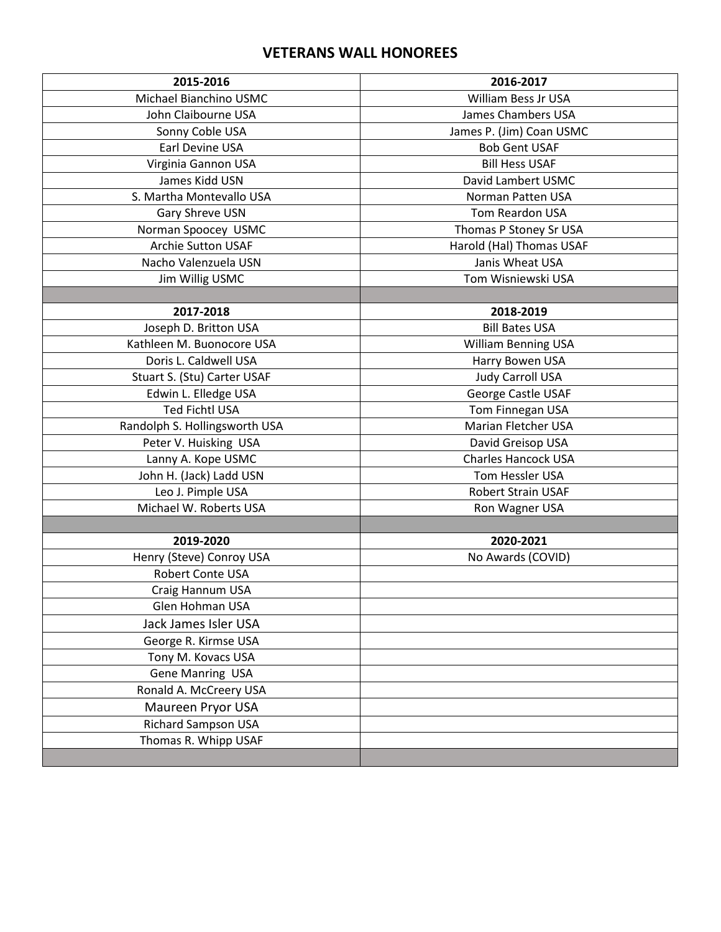## **VETERANS WALL HONOREES**

| 2015-2016                     | 2016-2017                  |
|-------------------------------|----------------------------|
| Michael Bianchino USMC        | <b>William Bess Jr USA</b> |
| John Claibourne USA           | James Chambers USA         |
| Sonny Coble USA               | James P. (Jim) Coan USMC   |
| Earl Devine USA               | <b>Bob Gent USAF</b>       |
| Virginia Gannon USA           | <b>Bill Hess USAF</b>      |
| James Kidd USN                | David Lambert USMC         |
| S. Martha Montevallo USA      | Norman Patten USA          |
| Gary Shreve USN               | Tom Reardon USA            |
| Norman Spoocey USMC           | Thomas P Stoney Sr USA     |
| <b>Archie Sutton USAF</b>     | Harold (Hal) Thomas USAF   |
| Nacho Valenzuela USN          | Janis Wheat USA            |
| Jim Willig USMC               | Tom Wisniewski USA         |
|                               |                            |
| 2017-2018                     | 2018-2019                  |
| Joseph D. Britton USA         | <b>Bill Bates USA</b>      |
| Kathleen M. Buonocore USA     | <b>William Benning USA</b> |
| Doris L. Caldwell USA         | Harry Bowen USA            |
| Stuart S. (Stu) Carter USAF   | <b>Judy Carroll USA</b>    |
| Edwin L. Elledge USA          | George Castle USAF         |
| <b>Ted Fichtl USA</b>         | Tom Finnegan USA           |
| Randolph S. Hollingsworth USA | Marian Fletcher USA        |
| Peter V. Huisking USA         | David Greisop USA          |
| Lanny A. Kope USMC            | <b>Charles Hancock USA</b> |
| John H. (Jack) Ladd USN       | Tom Hessler USA            |
| Leo J. Pimple USA             | <b>Robert Strain USAF</b>  |
| Michael W. Roberts USA        | Ron Wagner USA             |
|                               |                            |
| 2019-2020                     | 2020-2021                  |
| Henry (Steve) Conroy USA      | No Awards (COVID)          |
| Robert Conte USA              |                            |
| Craig Hannum USA              |                            |
| Glen Hohman USA               |                            |
| Jack James Isler USA          |                            |
| George R. Kirmse USA          |                            |
| Tony M. Kovacs USA            |                            |
| Gene Manring USA              |                            |
| Ronald A. McCreery USA        |                            |
| Maureen Pryor USA             |                            |
| <b>Richard Sampson USA</b>    |                            |
| Thomas R. Whipp USAF          |                            |
|                               |                            |